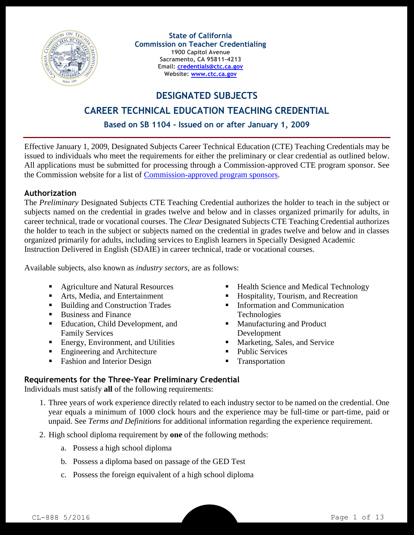

**State of California Commission on Teacher Credentialing 1900 Capitol Avenue Sacramento, CA 95811-4213 Email: [credentials@ctc.ca.gov](mailto:credentials@ctc.ca.gov) Website: [www.ctc.ca.gov](http://www.ctc.ca.gov/)**

**DESIGNATED SUBJECTS**

#### **CAREER TECHNICAL EDUCATION TEACHING CREDENTIAL**

**Based on SB 1104 - Issued on or after January 1, 2009**

Effective January 1, 2009, Designated Subjects Career Technical Education (CTE) Teaching Credentials may be issued to individuals who meet the requirements for either the preliminary or clear credential as outlined below. All applications must be submitted for processing through a Commission-approved CTE program sponsor. See the Commission website for a list of [Commission-approved program sponsors.](http://www.ctc.ca.gov/reports/data/app-edu-prep-prog.html)

#### **Authorization**

The *Preliminary* Designated Subjects CTE Teaching Credential authorizes the holder to teach in the subject or subjects named on the credential in grades twelve and below and in classes organized primarily for adults, in career technical, trade or vocational courses. The *Clear* Designated Subjects CTE Teaching Credential authorizes the holder to teach in the subject or subjects named on the credential in grades twelve and below and in classes organized primarily for adults, including services to English learners in Specially Designed Academic Instruction Delivered in English (SDAIE) in career technical, trade or vocational courses.

Available subjects, also known as *industry sectors*, are as follows:

- Agriculture and Natural Resources
- Arts, Media, and Entertainment
- Building and Construction Trades
- Business and Finance
- **Education, Child Development, and** Family Services
- Energy, Environment, and Utilities
- Engineering and Architecture
- Fashion and Interior Design
- Health Science and Medical Technology
- Hospitality, Tourism, and Recreation
- **Information and Communication** Technologies
- **Manufacturing and Product** Development
- **Marketing, Sales, and Service**
- Public Services
- **Transportation**

#### **Requirements for the Three-Year Preliminary Credential**

Individuals must satisfy **all** of the following requirements:

- 1. Three years of work experience directly related to each industry sector to be named on the credential. One year equals a minimum of 1000 clock hours and the experience may be full-time or part-time, paid or unpaid. See *Terms and Definitions* for additional information regarding the experience requirement.
- 2. High school diploma requirement by **one** of the following methods:
	- a. Possess a high school diploma
	- b. Possess a diploma based on passage of the GED Test
	- c. Possess the foreign equivalent of a high school diploma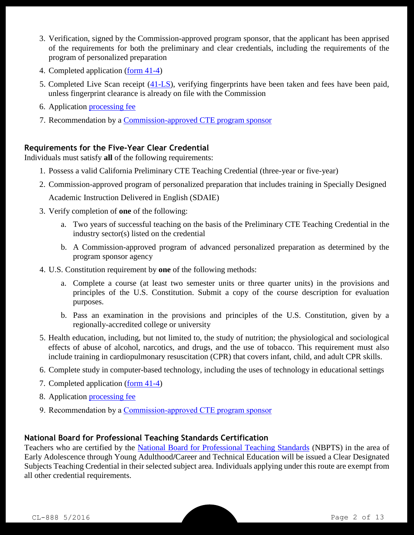- 3. Verification, signed by the Commission-approved program sponsor, that the applicant has been apprised of the requirements for both the preliminary and clear credentials, including the requirements of the program of personalized preparation
- 4. Completed application [\(form 41-4\)](http://www.ctc.ca.gov/credentials/leaflets/414.pdf)
- 5. Completed Live Scan receipt [\(41-LS\)](http://www.ctc.ca.gov/credentials/leaflets/41-LS.pdf), verifying fingerprints have been taken and fees have been paid, unless fingerprint clearance is already on file with the Commission
- 6. Application [processing fee](http://www.ctc.ca.gov/credentials/leaflets/cl659.pdf)
- 7. Recommendation by a [Commission-approved CTE program sponsor](http://www.ctc.ca.gov/reports/data/app-edu-prep-prog.html)

### **Requirements for the Five-Year Clear Credential**

Individuals must satisfy **all** of the following requirements:

- 1. Possess a valid California Preliminary CTE Teaching Credential (three-year or five-year)
- 2. Commission-approved program of personalized preparation that includes training in Specially Designed

Academic Instruction Delivered in English (SDAIE)

- 3. Verify completion of **one** of the following:
	- a. Two years of successful teaching on the basis of the Preliminary CTE Teaching Credential in the industry sector(s) listed on the credential
	- b. A Commission-approved program of advanced personalized preparation as determined by the program sponsor agency
- 4. U.S. Constitution requirement by **one** of the following methods:
	- a. Complete a course (at least two semester units or three quarter units) in the provisions and principles of the U.S. Constitution. Submit a copy of the course description for evaluation purposes.
	- b. Pass an examination in the provisions and principles of the U.S. Constitution, given by a regionally-accredited college or university
- 5. Health education, including, but not limited to, the study of nutrition; the physiological and sociological effects of abuse of alcohol, narcotics, and drugs, and the use of tobacco. This requirement must also include training in cardiopulmonary resuscitation (CPR) that covers infant, child, and adult CPR skills.
- 6. Complete study in computer-based technology, including the uses of technology in educational settings
- 7. Completed application [\(form 41-4\)](http://www.ctc.ca.gov/credentials/leaflets/414.pdf)
- 8. Application [processing fee](http://www.ctc.ca.gov/credentials/leaflets/cl659.pdf)
- 9. Recommendation by a [Commission-approved CTE program sponsor](http://www.ctc.ca.gov/reports/data/app-edu-prep-prog.html)

## **National Board for Professional Teaching Standards Certification**

Teachers who are certified by the [National Board for Professional Teaching Standards](http://www.nbpts.org/) (NBPTS) in the area of Early Adolescence through Young Adulthood**/**Career and Technical Education will be issued a Clear Designated Subjects Teaching Credential in their selected subject area. Individuals applying under this route are exempt from all other credential requirements.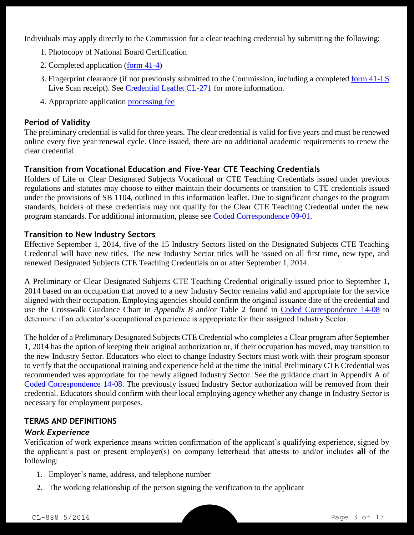Individuals may apply directly to the Commission for a clear teaching credential by submitting the following:

- 1. Photocopy of National Board Certification
- 2. Completed application [\(form 41-4\)](http://www.ctc.ca.gov/credentials/leaflets/414.pdf)
- 3. Fingerprint clearance (if not previously submitted to the Commission, including a completed [form 41-LS](http://www.ctc.ca.gov/credentials/leaflets/41-LS.pdf) Live Scan receipt). See [Credential Leaflet CL-271](http://www.ctc.ca.gov/credentials/leaflets/cl271.pdf) for more information.
- 4. Appropriate application [processing fee](http://www.ctc.ca.gov/credentials/leaflets/cl659.pdf)

## **Period of Validity**

The preliminary credential is valid for three years. The clear credential is valid for five years and must be renewed online every five year renewal cycle. Once issued, there are no additional academic requirements to renew the clear credential.

### **Transition from Vocational Education and Five-Year CTE Teaching Credentials**

Holders of Life or Clear Designated Subjects Vocational or CTE Teaching Credentials issued under previous regulations and statutes may choose to either maintain their documents or transition to CTE credentials issued under the provisions of SB 1104, outlined in this information leaflet. Due to significant changes to the program standards, holders of these credentials may not qualify for the Clear CTE Teaching Credential under the new program standards. For additional information, please see [Coded Correspondence 09-01.](http://www.ctc.ca.gov/notices/coded/2009/0901.pdf)

#### **Transition to New Industry Sectors**

Effective September 1, 2014, five of the 15 Industry Sectors listed on the Designated Subjects CTE Teaching Credential will have new titles. The new Industry Sector titles will be issued on all first time, new type, and renewed Designated Subjects CTE Teaching Credentials on or after September 1, 2014.

A Preliminary or Clear Designated Subjects CTE Teaching Credential originally issued prior to September 1, 2014 based on an occupation that moved to a new Industry Sector remains valid and appropriate for the service aligned with their occupation. Employing agencies should confirm the original issuance date of the credential and use the Crosswalk Guidance Chart in *Appendix B* and/or Table 2 found in [Coded Correspondence 14-08](http://www.ctc.ca.gov/notices/coded/2014/1408.pdf) to determine if an educator's occupational experience is appropriate for their assigned Industry Sector.

The holder of a Preliminary Designated Subjects CTE Credential who completes a Clear program after September 1, 2014 has the option of keeping their original authorization or, if their occupation has moved, may transition to the new Industry Sector. Educators who elect to change Industry Sectors must work with their program sponsor to verify that the occupational training and experience held at the time the initial Preliminary CTE Credential was recommended was appropriate for the newly aligned Industry Sector. See the guidance chart in Appendix A of [Coded Correspondence 14-08.](http://www.ctc.ca.gov/notices/coded/2014/1408.pdf) The previously issued Industry Sector authorization will be removed from their credential. Educators should confirm with their local employing agency whether any change in Industry Sector is necessary for employment purposes.

# **TERMS AND DEFINITIONS**

## *Work Experience*

Verification of work experience means written confirmation of the applicant's qualifying experience, signed by the applicant's past or present employer(s) on company letterhead that attests to and/or includes **all** of the following:

- 1. Employer's name, address, and telephone number
- 2. The working relationship of the person signing the verification to the applicant

CL-888 5/2016 Page 3 of 13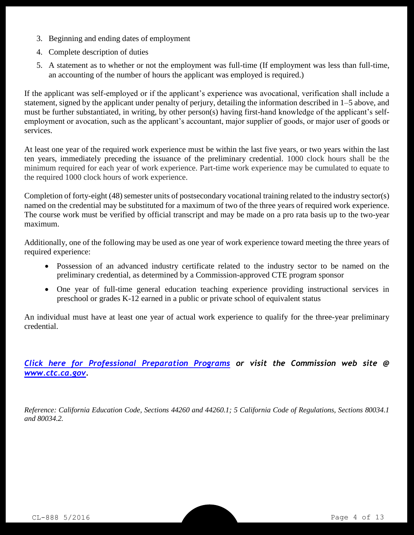- 3. Beginning and ending dates of employment
- 4. Complete description of duties
- 5. A statement as to whether or not the employment was full-time (If employment was less than full-time, an accounting of the number of hours the applicant was employed is required.)

If the applicant was self-employed or if the applicant's experience was avocational, verification shall include a statement, signed by the applicant under penalty of perjury, detailing the information described in 1–5 above, and must be further substantiated, in writing, by other person(s) having first-hand knowledge of the applicant's selfemployment or avocation, such as the applicant's accountant, major supplier of goods, or major user of goods or services.

At least one year of the required work experience must be within the last five years, or two years within the last ten years, immediately preceding the issuance of the preliminary credential. 1000 clock hours shall be the minimum required for each year of work experience. Part-time work experience may be cumulated to equate to the required 1000 clock hours of work experience.

Completion of forty-eight (48) semester units of postsecondary vocational training related to the industry sector(s) named on the credential may be substituted for a maximum of two of the three years of required work experience. The course work must be verified by official transcript and may be made on a pro rata basis up to the two-year maximum.

Additionally, one of the following may be used as one year of work experience toward meeting the three years of required experience:

- Possession of an advanced industry certificate related to the industry sector to be named on the preliminary credential, as determined by a Commission-approved CTE program sponsor
- One year of full-time general education teaching experience providing instructional services in preschool or grades K-12 earned in a public or private school of equivalent status

An individual must have at least one year of actual work experience to qualify for the three-year preliminary credential.

*[Click here for Professional Preparation Programs](http://www.ctc.ca.gov/reports/data/app-edu-prep-prog.html) or visit the Commission web site @ [www.ctc.ca.gov.](http://www.ctc.ca.gov/)*

*Reference: California Education Code, Sections 44260 and 44260.1; 5 California Code of Regulations, Sections 80034.1 and 80034.2.*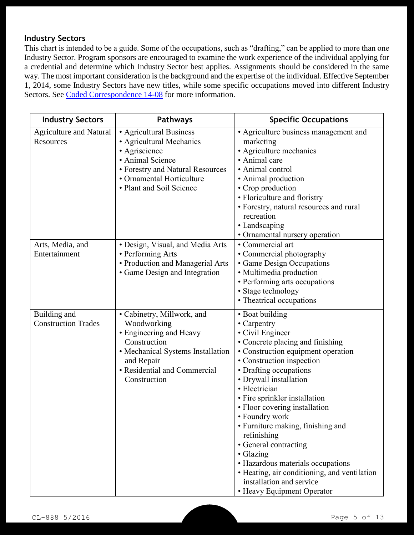# **Industry Sectors**

This chart is intended to be a guide. Some of the occupations, such as "drafting," can be applied to more than one Industry Sector. Program sponsors are encouraged to examine the work experience of the individual applying for a credential and determine which Industry Sector best applies. Assignments should be considered in the same way. The most important consideration is the background and the expertise of the individual. Effective September 1, 2014, some Industry Sectors have new titles, while some specific occupations moved into different Industry Sectors. See [Coded Correspondence 14-08](http://www.ctc.ca.gov/notices/coded/2014/1408.pdf) for more information.

| <b>Industry Sectors</b>                     | Pathways                                                                                                                                                                                | <b>Specific Occupations</b>                                                                                                                                                                                                                                                                                                                                                                                                                                                                                                                                       |
|---------------------------------------------|-----------------------------------------------------------------------------------------------------------------------------------------------------------------------------------------|-------------------------------------------------------------------------------------------------------------------------------------------------------------------------------------------------------------------------------------------------------------------------------------------------------------------------------------------------------------------------------------------------------------------------------------------------------------------------------------------------------------------------------------------------------------------|
| <b>Agriculture and Natural</b><br>Resources | • Agricultural Business<br>• Agricultural Mechanics<br>• Agriscience<br>• Animal Science<br>• Forestry and Natural Resources<br>• Ornamental Horticulture<br>• Plant and Soil Science   | • Agriculture business management and<br>marketing<br>• Agriculture mechanics<br>• Animal care<br>· Animal control<br>• Animal production<br>• Crop production<br>• Floriculture and floristry<br>• Forestry, natural resources and rural<br>recreation<br>• Landscaping<br>• Ornamental nursery operation                                                                                                                                                                                                                                                        |
| Arts, Media, and<br>Entertainment           | • Design, Visual, and Media Arts<br>• Performing Arts<br>• Production and Managerial Arts<br>· Game Design and Integration                                                              | • Commercial art<br>• Commercial photography<br>• Game Design Occupations<br>• Multimedia production<br>• Performing arts occupations<br>• Stage technology<br>• Theatrical occupations                                                                                                                                                                                                                                                                                                                                                                           |
| Building and<br><b>Construction Trades</b>  | • Cabinetry, Millwork, and<br>Woodworking<br>• Engineering and Heavy<br>Construction<br>• Mechanical Systems Installation<br>and Repair<br>• Residential and Commercial<br>Construction | • Boat building<br>$\cdot$ Carpentry<br>• Civil Engineer<br>• Concrete placing and finishing<br>• Construction equipment operation<br>• Construction inspection<br>• Drafting occupations<br>• Drywall installation<br>• Electrician<br>• Fire sprinkler installation<br>• Floor covering installation<br>• Foundry work<br>• Furniture making, finishing and<br>refinishing<br>• General contracting<br>• Glazing<br>• Hazardous materials occupations<br>• Heating, air conditioning, and ventilation<br>installation and service<br>• Heavy Equipment Operator |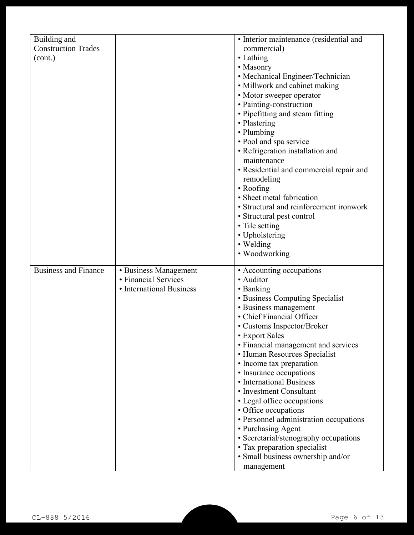| Building and                |                          | • Interior maintenance (residential and |
|-----------------------------|--------------------------|-----------------------------------------|
| <b>Construction Trades</b>  |                          | commercial)                             |
| (cont.)                     |                          | • Lathing                               |
|                             |                          | • Masonry                               |
|                             |                          | • Mechanical Engineer/Technician        |
|                             |                          | • Millwork and cabinet making           |
|                             |                          | • Motor sweeper operator                |
|                             |                          | • Painting-construction                 |
|                             |                          | • Pipefitting and steam fitting         |
|                             |                          | • Plastering                            |
|                             |                          | • Plumbing                              |
|                             |                          | · Pool and spa service                  |
|                             |                          | • Refrigeration installation and        |
|                             |                          | maintenance                             |
|                             |                          | • Residential and commercial repair and |
|                             |                          | remodeling                              |
|                             |                          | • Roofing                               |
|                             |                          | · Sheet metal fabrication               |
|                             |                          | • Structural and reinforcement ironwork |
|                             |                          | • Structural pest control               |
|                             |                          | • Tile setting                          |
|                             |                          | • Upholstering                          |
|                             |                          | • Welding                               |
|                             |                          | • Woodworking                           |
|                             |                          |                                         |
| <b>Business and Finance</b> | • Business Management    | • Accounting occupations                |
|                             | • Financial Services     | • Auditor                               |
|                             | • International Business | • Banking                               |
|                             |                          | • Business Computing Specialist         |
|                             |                          | • Business management                   |
|                             |                          | • Chief Financial Officer               |
|                             |                          | • Customs Inspector/Broker              |
|                             |                          | • Export Sales                          |
|                             |                          | • Financial management and services     |
|                             |                          | • Human Resources Specialist            |
|                             |                          | • Income tax preparation                |
|                             |                          | • Insurance occupations                 |
|                             |                          | • International Business                |
|                             |                          | • Investment Consultant                 |
|                             |                          | • Legal office occupations              |
|                             |                          | • Office occupations                    |
|                             |                          | • Personnel administration occupations  |
|                             |                          | • Purchasing Agent                      |
|                             |                          | • Secretarial/stenography occupations   |
|                             |                          | • Tax preparation specialist            |
|                             |                          | · Small business ownership and/or       |
|                             |                          | management                              |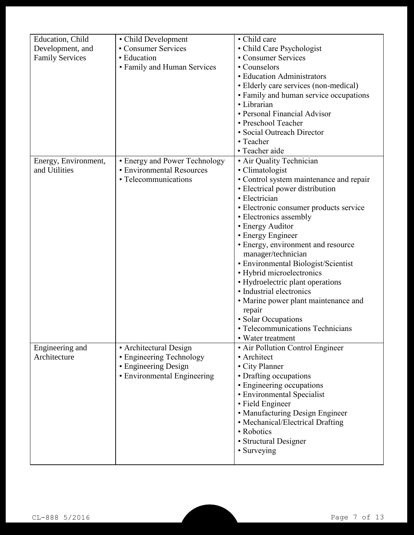| Education, Child       | • Child Development           | • Child care                            |
|------------------------|-------------------------------|-----------------------------------------|
| Development, and       | • Consumer Services           | • Child Care Psychologist               |
| <b>Family Services</b> | • Education                   | • Consumer Services                     |
|                        | • Family and Human Services   | • Counselors                            |
|                        |                               | • Education Administrators              |
|                        |                               | • Elderly care services (non-medical)   |
|                        |                               | • Family and human service occupations  |
|                        |                               | • Librarian                             |
|                        |                               | • Personal Financial Advisor            |
|                        |                               | • Preschool Teacher                     |
|                        |                               | • Social Outreach Director              |
|                        |                               | • Teacher                               |
|                        |                               | • Teacher aide                          |
| Energy, Environment,   | • Energy and Power Technology | · Air Quality Technician                |
| and Utilities          | • Environmental Resources     | • Climatologist                         |
|                        | • Telecommunications          | • Control system maintenance and repair |
|                        |                               | • Electrical power distribution         |
|                        |                               | • Electrician                           |
|                        |                               | • Electronic consumer products service  |
|                        |                               | • Electronics assembly                  |
|                        |                               | • Energy Auditor                        |
|                        |                               | • Energy Engineer                       |
|                        |                               | • Energy, environment and resource      |
|                        |                               | manager/technician                      |
|                        |                               | • Environmental Biologist/Scientist     |
|                        |                               | • Hybrid microelectronics               |
|                        |                               | • Hydroelectric plant operations        |
|                        |                               | • Industrial electronics                |
|                        |                               | • Marine power plant maintenance and    |
|                        |                               | repair                                  |
|                        |                               | · Solar Occupations                     |
|                        |                               | • Telecommunications Technicians        |
|                        |                               | • Water treatment                       |
| Engineering and        | • Architectural Design        | • Air Pollution Control Engineer        |
| Architecture           | • Engineering Technology      | • Architect                             |
|                        | • Engineering Design          | • City Planner                          |
|                        | • Environmental Engineering   | • Drafting occupations                  |
|                        |                               | • Engineering occupations               |
|                        |                               | • Environmental Specialist              |
|                        |                               | • Field Engineer                        |
|                        |                               | • Manufacturing Design Engineer         |
|                        |                               | • Mechanical/Electrical Drafting        |
|                        |                               | • Robotics                              |
|                        |                               | • Structural Designer                   |
|                        |                               | • Surveying                             |
|                        |                               |                                         |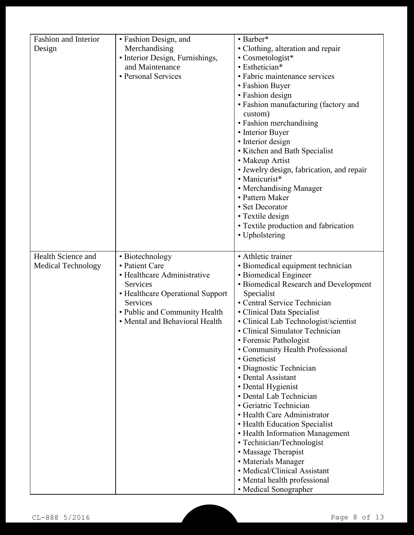| <b>Fashion and Interior</b> | • Fashion Design, and            | • Barber*                                                    |
|-----------------------------|----------------------------------|--------------------------------------------------------------|
| Design                      | Merchandising                    | • Clothing, alteration and repair                            |
|                             | • Interior Design, Furnishings,  | $\cdot$ Cosmetologist*                                       |
|                             | and Maintenance                  | • Esthetician*                                               |
|                             | • Personal Services              | • Fabric maintenance services                                |
|                             |                                  | • Fashion Buyer                                              |
|                             |                                  | • Fashion design                                             |
|                             |                                  | • Fashion manufacturing (factory and                         |
|                             |                                  | custom)<br>• Fashion merchandising                           |
|                             |                                  | • Interior Buyer                                             |
|                             |                                  | • Interior design                                            |
|                             |                                  | • Kitchen and Bath Specialist                                |
|                             |                                  | • Makeup Artist                                              |
|                             |                                  | • Jewelry design, fabrication, and repair                    |
|                             |                                  | • Manicurist*                                                |
|                             |                                  | • Merchandising Manager                                      |
|                             |                                  | • Pattern Maker                                              |
|                             |                                  | • Set Decorator                                              |
|                             |                                  | • Textile design                                             |
|                             |                                  | • Textile production and fabrication                         |
|                             |                                  | • Upholstering                                               |
|                             |                                  |                                                              |
| Health Science and          | • Biotechnology                  | • Athletic trainer                                           |
| <b>Medical Technology</b>   | • Patient Care                   | · Biomedical equipment technician                            |
|                             | • Healthcare Administrative      | • Biomedical Engineer                                        |
|                             | Services                         | • Biomedical Research and Development                        |
|                             | • Healthcare Operational Support | Specialist                                                   |
|                             | Services                         | • Central Service Technician                                 |
|                             | • Public and Community Health    |                                                              |
|                             |                                  | • Clinical Data Specialist                                   |
|                             | • Mental and Behavioral Health   | • Clinical Lab Technologist/scientist                        |
|                             |                                  | • Clinical Simulator Technician                              |
|                             |                                  | • Forensic Pathologist                                       |
|                             |                                  | • Community Health Professional                              |
|                             |                                  | • Geneticist                                                 |
|                             |                                  | · Diagnostic Technician                                      |
|                             |                                  | • Dental Assistant                                           |
|                             |                                  | • Dental Hygienist                                           |
|                             |                                  | • Dental Lab Technician                                      |
|                             |                                  | • Geriatric Technician                                       |
|                             |                                  | • Health Care Administrator                                  |
|                             |                                  | • Health Education Specialist                                |
|                             |                                  | • Health Information Management                              |
|                             |                                  | • Technician/Technologist                                    |
|                             |                                  | • Massage Therapist                                          |
|                             |                                  | • Materials Manager                                          |
|                             |                                  | • Medical/Clinical Assistant<br>• Mental health professional |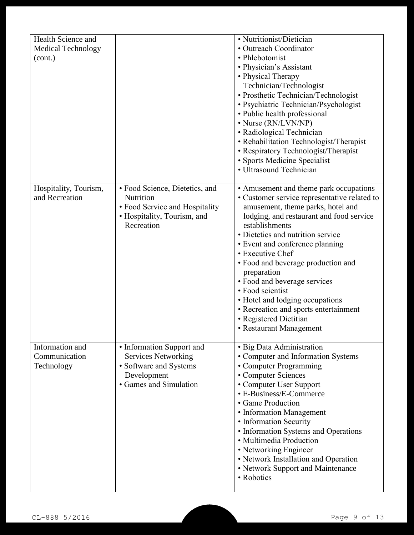| Health Science and<br><b>Medical Technology</b><br>(cont.) |                                                                                                                            | • Nutritionist/Dietician<br>• Outreach Coordinator<br>• Phlebotomist<br>• Physician's Assistant<br>• Physical Therapy<br>Technician/Technologist<br>• Prosthetic Technician/Technologist<br>• Psychiatric Technician/Psychologist<br>• Public health professional<br>• Nurse (RN/LVN/NP)<br>• Radiological Technician<br>• Rehabilitation Technologist/Therapist<br>• Respiratory Technologist/Therapist<br>• Sports Medicine Specialist<br>· Ultrasound Technician                                                             |
|------------------------------------------------------------|----------------------------------------------------------------------------------------------------------------------------|---------------------------------------------------------------------------------------------------------------------------------------------------------------------------------------------------------------------------------------------------------------------------------------------------------------------------------------------------------------------------------------------------------------------------------------------------------------------------------------------------------------------------------|
| Hospitality, Tourism,<br>and Recreation                    | • Food Science, Dietetics, and<br>Nutrition<br>• Food Service and Hospitality<br>· Hospitality, Tourism, and<br>Recreation | • Amusement and theme park occupations<br>• Customer service representative related to<br>amusement, theme parks, hotel and<br>lodging, and restaurant and food service<br>establishments<br>• Dietetics and nutrition service<br>• Event and conference planning<br>• Executive Chef<br>• Food and beverage production and<br>preparation<br>• Food and beverage services<br>• Food scientist<br>• Hotel and lodging occupations<br>• Recreation and sports entertainment<br>• Registered Dietitian<br>• Restaurant Management |
| Information and<br>Communication<br>Technology             | • Information Support and<br><b>Services Networking</b><br>• Software and Systems<br>Development<br>• Games and Simulation | · Big Data Administration<br>• Computer and Information Systems<br>• Computer Programming<br>• Computer Sciences<br>• Computer User Support<br>• E-Business/E-Commerce<br>• Game Production<br>• Information Management<br>• Information Security<br>• Information Systems and Operations<br>• Multimedia Production<br>• Networking Engineer<br>• Network Installation and Operation<br>• Network Support and Maintenance<br>• Robotics                                                                                        |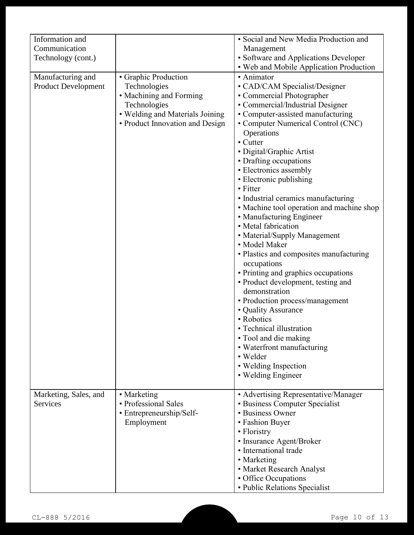| Information and            |                                 | · Social and New Media Production and     |
|----------------------------|---------------------------------|-------------------------------------------|
| Communication              |                                 | Management                                |
| Technology (cont.)         |                                 | • Software and Applications Developer     |
|                            |                                 | • Web and Mobile Application Production   |
| Manufacturing and          | • Graphic Production            | • Animator                                |
| <b>Product Development</b> | Technologies                    | • CAD/CAM Specialist/Designer             |
|                            | • Machining and Forming         | • Commercial Photographer                 |
|                            | Technologies                    | • Commercial/Industrial Designer          |
|                            | • Welding and Materials Joining | • Computer-assisted manufacturing         |
|                            | • Product Innovation and Design | • Computer Numerical Control (CNC)        |
|                            |                                 | Operations                                |
|                            |                                 | • Cutter                                  |
|                            |                                 |                                           |
|                            |                                 | · Digital/Graphic Artist                  |
|                            |                                 | • Drafting occupations                    |
|                            |                                 | • Electronics assembly                    |
|                            |                                 | • Electronic publishing                   |
|                            |                                 | • Fitter                                  |
|                            |                                 | • Industrial ceramics manufacturing       |
|                            |                                 | • Machine tool operation and machine shop |
|                            |                                 | • Manufacturing Engineer                  |
|                            |                                 | • Metal fabrication                       |
|                            |                                 | • Material/Supply Management              |
|                            |                                 | • Model Maker                             |
|                            |                                 | • Plastics and composites manufacturing   |
|                            |                                 | occupations                               |
|                            |                                 | • Printing and graphics occupations       |
|                            |                                 | • Product development, testing and        |
|                            |                                 | demonstration                             |
|                            |                                 | • Production process/management           |
|                            |                                 | • Quality Assurance                       |
|                            |                                 | • Robotics                                |
|                            |                                 | • Technical illustration                  |
|                            |                                 |                                           |
|                            |                                 | • Tool and die making                     |
|                            |                                 | • Waterfront manufacturing                |
|                            |                                 | • Welder                                  |
|                            |                                 | • Welding Inspection                      |
|                            |                                 | • Welding Engineer                        |
|                            |                                 |                                           |
| Marketing, Sales, and      | • Marketing                     | • Advertising Representative/Manager      |
| <b>Services</b>            | • Professional Sales            | • Business Computer Specialist            |
|                            | • Entrepreneurship/Self-        | • Business Owner                          |
|                            | Employment                      | • Fashion Buyer                           |
|                            |                                 | • Floristry                               |
|                            |                                 | • Insurance Agent/Broker                  |
|                            |                                 | · International trade                     |
|                            |                                 | • Marketing                               |
|                            |                                 | • Market Research Analyst                 |
|                            |                                 | • Office Occupations                      |
|                            |                                 | • Public Relations Specialist             |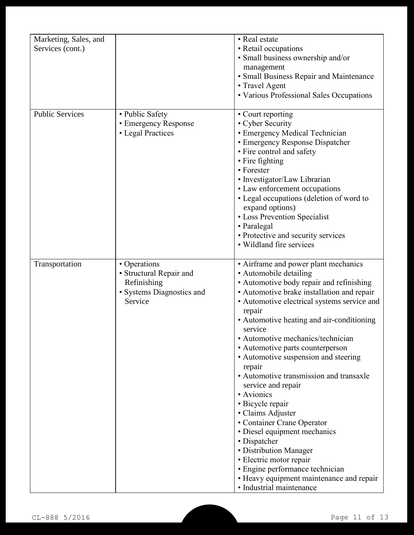| Marketing, Sales, and<br>Services (cont.) |                                                                                                | • Real estate<br>• Retail occupations<br>· Small business ownership and/or<br>management<br>• Small Business Repair and Maintenance<br>• Travel Agent<br>• Various Professional Sales Occupations                                                                                                                                                                                                                                                                                                                                                                                                                                                                                                                                                                          |
|-------------------------------------------|------------------------------------------------------------------------------------------------|----------------------------------------------------------------------------------------------------------------------------------------------------------------------------------------------------------------------------------------------------------------------------------------------------------------------------------------------------------------------------------------------------------------------------------------------------------------------------------------------------------------------------------------------------------------------------------------------------------------------------------------------------------------------------------------------------------------------------------------------------------------------------|
| <b>Public Services</b>                    | • Public Safety<br>• Emergency Response<br>• Legal Practices                                   | • Court reporting<br>• Cyber Security<br>• Emergency Medical Technician<br>• Emergency Response Dispatcher<br>• Fire control and safety<br>• Fire fighting<br>• Forester<br>· Investigator/Law Librarian<br>• Law enforcement occupations<br>• Legal occupations (deletion of word to<br>expand options)<br>• Loss Prevention Specialist<br>• Paralegal<br>• Protective and security services<br>• Wildland fire services                                                                                                                                                                                                                                                                                                                                                  |
| Transportation                            | • Operations<br>• Structural Repair and<br>Refinishing<br>· Systems Diagnostics and<br>Service | • Airframe and power plant mechanics<br>• Automobile detailing<br>• Automotive body repair and refinishing<br>• Automotive brake installation and repair<br>• Automotive electrical systems service and<br>repair<br>• Automotive heating and air-conditioning<br>service<br>· Automotive mechanics/technician<br>• Automotive parts counterperson<br>• Automotive suspension and steering<br>repair<br>• Automotive transmission and transaxle<br>service and repair<br>• Avionics<br>• Bicycle repair<br>• Claims Adjuster<br>• Container Crane Operator<br>· Diesel equipment mechanics<br>• Dispatcher<br>• Distribution Manager<br>· Electric motor repair<br>· Engine performance technician<br>• Heavy equipment maintenance and repair<br>· Industrial maintenance |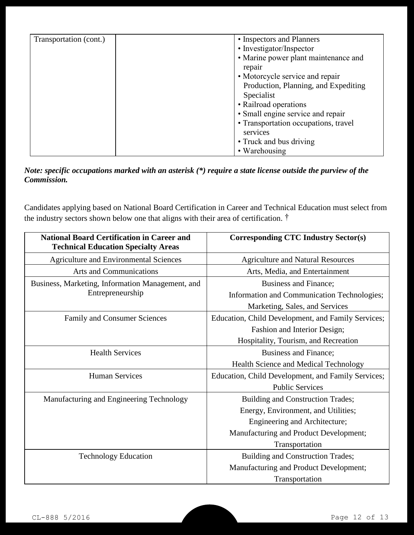| Transportation (cont.) | • Inspectors and Planners            |
|------------------------|--------------------------------------|
|                        | • Investigator/Inspector             |
|                        | • Marine power plant maintenance and |
|                        | repair                               |
|                        | • Motorcycle service and repair      |
|                        | Production, Planning, and Expediting |
|                        | Specialist                           |
|                        | • Railroad operations                |
|                        | • Small engine service and repair    |
|                        | • Transportation occupations, travel |
|                        | services                             |
|                        | • Truck and bus driving              |
|                        | • Warehousing                        |

#### *Note: specific occupations marked with an asterisk (\*) require a state license outside the purview of the Commission.*

Candidates applying based on National Board Certification in Career and Technical Education must select from the industry sectors shown below one that aligns with their area of certification. †

| <b>National Board Certification in Career and</b><br><b>Technical Education Specialty Areas</b> | <b>Corresponding CTC Industry Sector(s)</b>        |
|-------------------------------------------------------------------------------------------------|----------------------------------------------------|
| <b>Agriculture and Environmental Sciences</b>                                                   | <b>Agriculture and Natural Resources</b>           |
| <b>Arts and Communications</b>                                                                  | Arts, Media, and Entertainment                     |
| Business, Marketing, Information Management, and                                                | Business and Finance;                              |
| Entrepreneurship                                                                                | Information and Communication Technologies;        |
|                                                                                                 | Marketing, Sales, and Services                     |
| <b>Family and Consumer Sciences</b>                                                             | Education, Child Development, and Family Services; |
|                                                                                                 | Fashion and Interior Design;                       |
|                                                                                                 | Hospitality, Tourism, and Recreation               |
| <b>Health Services</b>                                                                          | Business and Finance;                              |
|                                                                                                 | <b>Health Science and Medical Technology</b>       |
| <b>Human Services</b>                                                                           | Education, Child Development, and Family Services; |
|                                                                                                 | <b>Public Services</b>                             |
| Manufacturing and Engineering Technology                                                        | Building and Construction Trades;                  |
|                                                                                                 | Energy, Environment, and Utilities;                |
|                                                                                                 | Engineering and Architecture;                      |
|                                                                                                 | Manufacturing and Product Development;             |
|                                                                                                 | Transportation                                     |
| <b>Technology Education</b>                                                                     | Building and Construction Trades;                  |
|                                                                                                 | Manufacturing and Product Development;             |
|                                                                                                 | Transportation                                     |